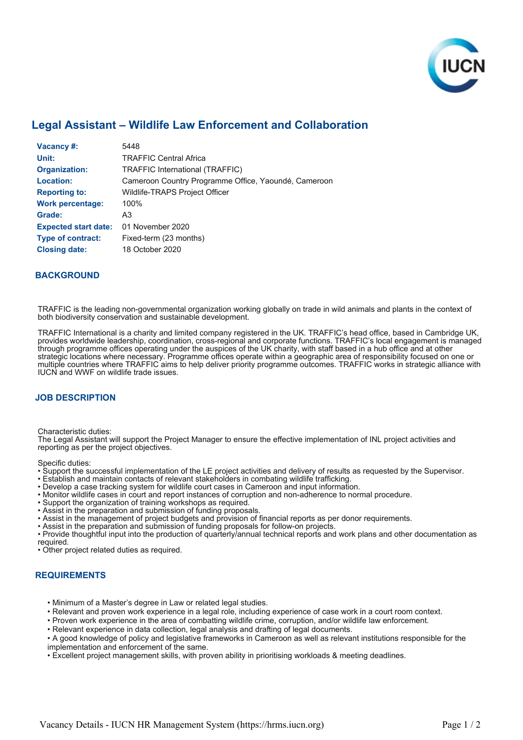

# **Legal Assistant – Wildlife Law Enforcement and Collaboration**

| <b>Vacancy #:</b>           | 5448                                                 |
|-----------------------------|------------------------------------------------------|
| Unit:                       | <b>TRAFFIC Central Africa</b>                        |
| <b>Organization:</b>        | <b>TRAFFIC International (TRAFFIC)</b>               |
| <b>Location:</b>            | Cameroon Country Programme Office, Yaoundé, Cameroon |
| <b>Reporting to:</b>        | Wildlife-TRAPS Project Officer                       |
| <b>Work percentage:</b>     | 100%                                                 |
| Grade:                      | A3                                                   |
| <b>Expected start date:</b> | 01 November 2020                                     |
| <b>Type of contract:</b>    | Fixed-term (23 months)                               |
| <b>Closing date:</b>        | 18 October 2020                                      |

### **BACKGROUND**

TRAFFIC is the leading non-governmental organization working globally on trade in wild animals and plants in the context of both biodiversity conservation and sustainable development.

TRAFFIC International is a charity and limited company registered in the UK. TRAFFIC's head office, based in Cambridge UK, provides worldwide leadership, coordination, cross-regional and corporate functions. TRAFFIC's local engagement is managed through programme offices operating under the auspices of the UK charity, with staff based in a hub office and at other strategic locations where necessary. Programme offices operate within a geographic area of responsibility focused on one or multiple countries where TRAFFIC aims to help deliver priority programme outcomes. TRAFFIC works in strategic alliance with IUCN and WWF on wildlife trade issues.

# **JOB DESCRIPTION**

Characteristic duties:

The Legal Assistant will support the Project Manager to ensure the effective implementation of INL project activities and reporting as per the project objectives.

Specific duties:

• Support the successful implementation of the LE project activities and delivery of results as requested by the Supervisor.

- Establish and maintain contacts of relevant stakeholders in combating wildlife trafficking.
- Develop a case tracking system for wildlife court cases in Cameroon and input information.
- Monitor wildlife cases in court and report instances of corruption and non-adherence to normal procedure.
- Support the organization of training workshops as required.
- Assist in the preparation and submission of funding proposals.
- Assist in the management of project budgets and provision of financial reports as per donor requirements.
- Assist in the preparation and submission of funding proposals for follow-on projects.

• Provide thoughtful input into the production of quarterly/annual technical reports and work plans and other documentation as required.

• Other project related duties as required.

# **REQUIREMENTS**

- Minimum of a Master's degree in Law or related legal studies.
- Relevant and proven work experience in a legal role, including experience of case work in a court room context.
- Proven work experience in the area of combatting wildlife crime, corruption, and/or wildlife law enforcement.
- Relevant experience in data collection, legal analysis and drafting of legal documents.

• A good knowledge of policy and legislative frameworks in Cameroon as well as relevant institutions responsible for the implementation and enforcement of the same.

• Excellent project management skills, with proven ability in prioritising workloads & meeting deadlines.